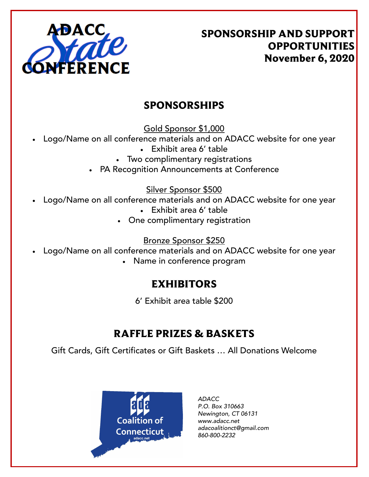

SPONSORSHIP AND SUPPORT OPPORTUNITIES November 6, 2020

### SPONSORSHIPS

Gold Sponsor \$1,000

- Logo/Name on all conference materials and on ADACC website for one year
	- Exhibit area 6' table
	- Two complimentary registrations
	- PA Recognition Announcements at Conference

#### Silver Sponsor \$500

- Logo/Name on all conference materials and on ADACC website for one year
	- Exhibit area 6' table
	- One complimentary registration

### Bronze Sponsor \$250

- Logo/Name on all conference materials and on ADACC website for one year
	- Name in conference program

## EXHIBITORS

6' Exhibit area table \$200

# RAFFLE PRIZES & BASKETS

Gift Cards, Gift Certificates or Gift Baskets … All Donations Welcome



*ADACC P.O. Box 310663 Newington, CT 06131 www.adacc.net adacoalitionct@gmail.com 860-800-2232*